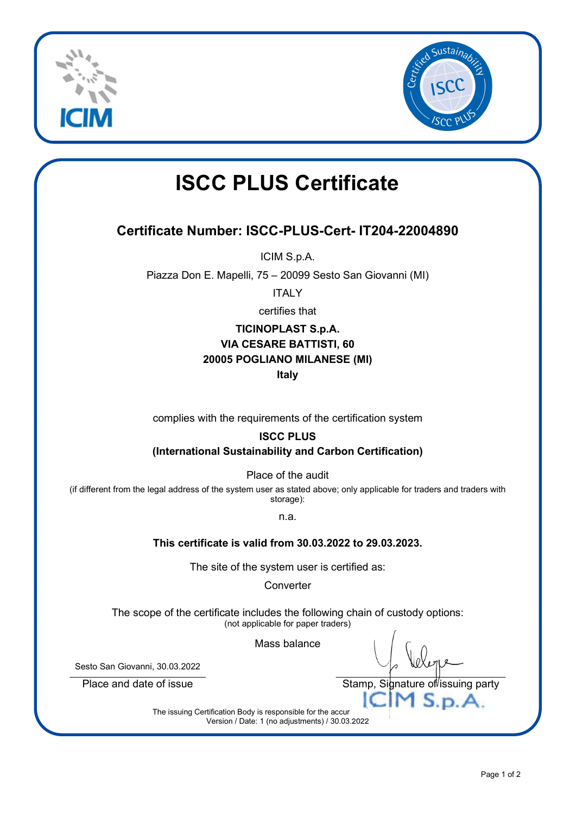



# ISCC PLUS Certificate

### Certificate Number: ISCC-PLUS-Cert- IT204-22004890

ICIM S.p.A.

Piazza Don E. Mapelli, 75 – 20099 Sesto San Giovanni (MI)

**ITALY** 

certifies that

#### TICINOPLAST S.p.A. VIA CESARE BATTISTI, 60 20005 POGLIANO MILANESE (MI) Italy

complies with the requirements of the certification system

#### ISCC PLUS

(International Sustainability and Carbon Certification)

Place of the audit

(if different from the legal address of the system user as stated above; only applicable for traders and traders with storage):

n.a.

#### This certificate is valid from 30.03.2022 to 29.03.2023.

The site of the system user is certified as:

**Converter** 

The scope of the certificate includes the following chain of custody options: (not applicable for paper traders)

Mass balance

Sesto San Giovanni, 30.03.2022

Place and date of issue The Stamp, Signature of issuing party

The issuing Certification Body is responsible for the accuracy  $\Box M S.p.A$ Version / Date: 1 (no adjustments) / 30.03.2022